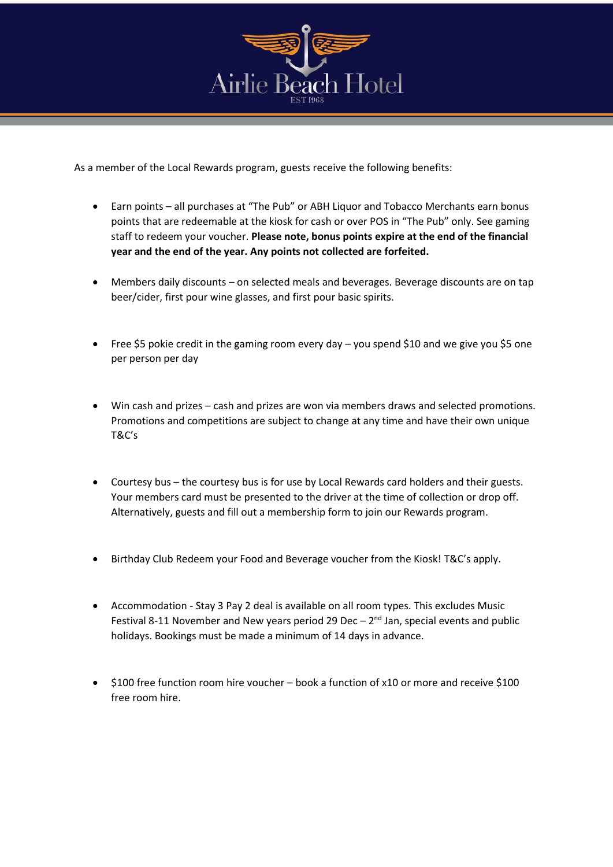

As a member of the Local Rewards program, guests receive the following benefits:

- Earn points all purchases at "The Pub" or ABH Liquor and Tobacco Merchants earn bonus points that are redeemable at the kiosk for cash or over POS in "The Pub" only. See gaming staff to redeem your voucher. **Please note, bonus points expire at the end of the financial year and the end of the year. Any points not collected are forfeited.**
- Members daily discounts on selected meals and beverages. Beverage discounts are on tap beer/cider, first pour wine glasses, and first pour basic spirits.
- Free \$5 pokie credit in the gaming room every day you spend \$10 and we give you \$5 one per person per day
- Win cash and prizes cash and prizes are won via members draws and selected promotions. Promotions and competitions are subject to change at any time and have their own unique T&C's
- Courtesy bus the courtesy bus is for use by Local Rewards card holders and their guests. Your members card must be presented to the driver at the time of collection or drop off. Alternatively, guests and fill out a membership form to join our Rewards program.
- Birthday Club Redeem your Food and Beverage voucher from the Kiosk! T&C's apply.
- Accommodation Stay 3 Pay 2 deal is available on all room types. This excludes Music Festival 8-11 November and New years period 29 Dec  $-2<sup>nd</sup>$  Jan, special events and public holidays. Bookings must be made a minimum of 14 days in advance.
- \$100 free function room hire voucher book a function of x10 or more and receive \$100 free room hire.